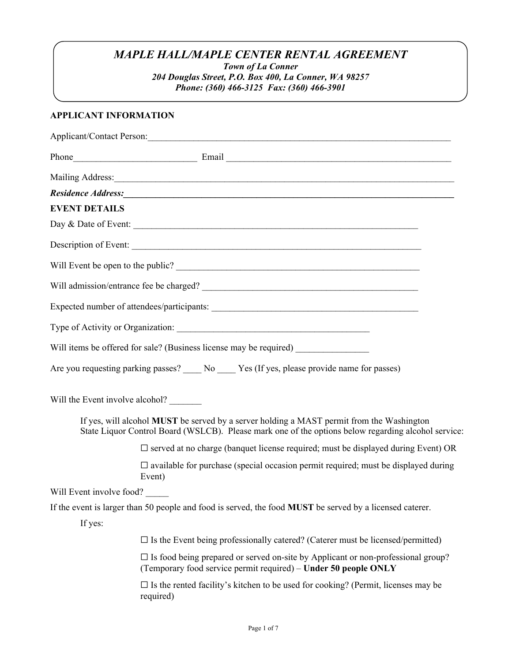## *MAPLE HALL/MAPLE CENTER RENTAL AGREEMENT*

*Town of La Conner* 

*204 Douglas Street, P.O. Box 400, La Conner, WA 98257 Phone: (360) 466-3125 Fax: (360) 466-3901* 

#### **APPLICANT INFORMATION**

| Mailing Address:                                                                                                                                                                                                               |                                                                                                                                                               |
|--------------------------------------------------------------------------------------------------------------------------------------------------------------------------------------------------------------------------------|---------------------------------------------------------------------------------------------------------------------------------------------------------------|
| Residence Address: No. 1996. The Contract of the Contract of the Contract of the Contract of the Contract of the Contract of the Contract of the Contract of the Contract of the Contract of the Contract of the Contract of t |                                                                                                                                                               |
| <b>EVENT DETAILS</b>                                                                                                                                                                                                           |                                                                                                                                                               |
|                                                                                                                                                                                                                                |                                                                                                                                                               |
| Description of Event:                                                                                                                                                                                                          |                                                                                                                                                               |
| Will Event be open to the public?                                                                                                                                                                                              |                                                                                                                                                               |
|                                                                                                                                                                                                                                |                                                                                                                                                               |
|                                                                                                                                                                                                                                |                                                                                                                                                               |
|                                                                                                                                                                                                                                |                                                                                                                                                               |
| Will items be offered for sale? (Business license may be required) _____________                                                                                                                                               |                                                                                                                                                               |
| Are you requesting parking passes? ____ No ____ Yes (If yes, please provide name for passes)                                                                                                                                   |                                                                                                                                                               |
|                                                                                                                                                                                                                                |                                                                                                                                                               |
| If yes, will alcohol MUST be served by a server holding a MAST permit from the Washington<br>State Liquor Control Board (WSLCB). Please mark one of the options below regarding alcohol service:                               |                                                                                                                                                               |
|                                                                                                                                                                                                                                | $\square$ served at no charge (banquet license required; must be displayed during Event) OR                                                                   |
|                                                                                                                                                                                                                                | $\square$ available for purchase (special occasion permit required; must be displayed during<br>Event)                                                        |
| Will Event involve food?                                                                                                                                                                                                       |                                                                                                                                                               |
| If the event is larger than 50 people and food is served, the food <b>MUST</b> be served by a licensed caterer.                                                                                                                |                                                                                                                                                               |
| If yes:                                                                                                                                                                                                                        |                                                                                                                                                               |
|                                                                                                                                                                                                                                | $\square$ Is the Event being professionally catered? (Caterer must be licensed/permitted)                                                                     |
|                                                                                                                                                                                                                                | $\square$ Is food being prepared or served on-site by Applicant or non-professional group?<br>(Temporary food service permit required) – Under 50 people ONLY |
|                                                                                                                                                                                                                                | $\square$ Is the rented facility's kitchen to be used for cooking? (Permit, licenses may be<br>required)                                                      |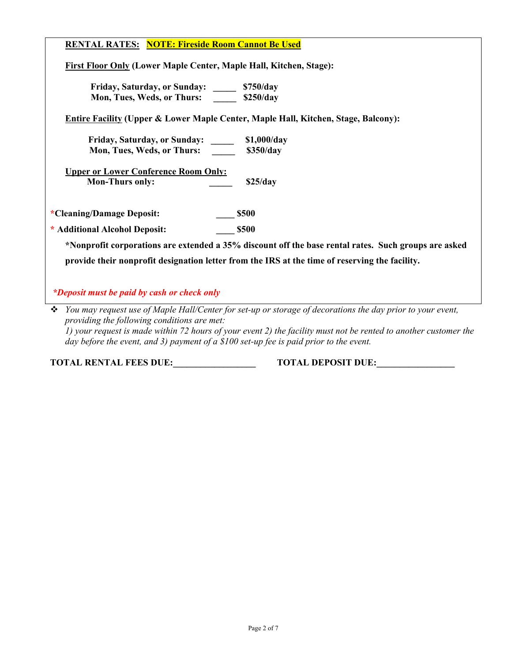#### **RENTAL RATES: NOTE: Fireside Room Cannot Be Used**

 **First Floor Only (Lower Maple Center, Maple Hall, Kitchen, Stage):** 

 **Friday, Saturday, or Sunday: \_\_\_\_\_ \$750/day**  **Mon, Tues, Weds, or Thurs: \_\_\_\_\_ \$250/day**

**Entire Facility (Upper & Lower Maple Center, Maple Hall, Kitchen, Stage, Balcony):** 

 **Friday, Saturday, or Sunday: \_\_\_\_\_ \$1,000/day Mon, Tues, Weds, or Thurs:** \$350/day

 **Upper or Lower Conference Room Only: Mon-Thurs only:** \$25/day

**\*Cleaning/Damage Deposit: \_\_\_\_ \$500** 

**\* Additional Alcohol Deposit: \_\_\_\_ \$500** 

 **\*Nonprofit corporations are extended a 35% discount off the base rental rates. Such groups are asked provide their nonprofit designation letter from the IRS at the time of reserving the facility.** 

*\*Deposit must be paid by cash or check only* 

 *You may request use of Maple Hall/Center for set-up or storage of decorations the day prior to your event, providing the following conditions are met: 1) your request is made within 72 hours of your event 2) the facility must not be rented to another customer the day before the event, and 3) payment of a \$100 set-up fee is paid prior to the event.* 

**TOTAL RENTAL FEES DUE:\_\_\_\_\_\_\_\_\_\_\_\_\_\_\_\_\_\_ TOTAL DEPOSIT DUE:\_\_\_\_\_\_\_\_\_\_\_\_\_\_\_\_\_**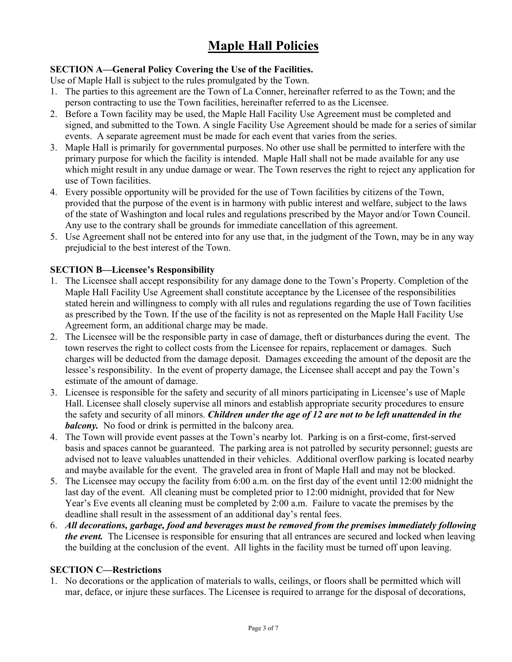# **Maple Hall Policies**

#### **SECTION A—General Policy Covering the Use of the Facilities.**

Use of Maple Hall is subject to the rules promulgated by the Town.

- 1. The parties to this agreement are the Town of La Conner, hereinafter referred to as the Town; and the person contracting to use the Town facilities, hereinafter referred to as the Licensee.
- 2. Before a Town facility may be used, the Maple Hall Facility Use Agreement must be completed and signed, and submitted to the Town. A single Facility Use Agreement should be made for a series of similar events. A separate agreement must be made for each event that varies from the series.
- 3. Maple Hall is primarily for governmental purposes. No other use shall be permitted to interfere with the primary purpose for which the facility is intended. Maple Hall shall not be made available for any use which might result in any undue damage or wear. The Town reserves the right to reject any application for use of Town facilities.
- 4. Every possible opportunity will be provided for the use of Town facilities by citizens of the Town, provided that the purpose of the event is in harmony with public interest and welfare, subject to the laws of the state of Washington and local rules and regulations prescribed by the Mayor and/or Town Council. Any use to the contrary shall be grounds for immediate cancellation of this agreement.
- 5. Use Agreement shall not be entered into for any use that, in the judgment of the Town, may be in any way prejudicial to the best interest of the Town.

#### **SECTION B—Licensee's Responsibility**

- 1. The Licensee shall accept responsibility for any damage done to the Town's Property. Completion of the Maple Hall Facility Use Agreement shall constitute acceptance by the Licensee of the responsibilities stated herein and willingness to comply with all rules and regulations regarding the use of Town facilities as prescribed by the Town. If the use of the facility is not as represented on the Maple Hall Facility Use Agreement form, an additional charge may be made.
- 2. The Licensee will be the responsible party in case of damage, theft or disturbances during the event. The town reserves the right to collect costs from the Licensee for repairs, replacement or damages. Such charges will be deducted from the damage deposit. Damages exceeding the amount of the deposit are the lessee's responsibility. In the event of property damage, the Licensee shall accept and pay the Town's estimate of the amount of damage.
- 3. Licensee is responsible for the safety and security of all minors participating in Licensee's use of Maple Hall. Licensee shall closely supervise all minors and establish appropriate security procedures to ensure the safety and security of all minors. *Children under the age of 12 are not to be left unattended in the balcony*. No food or drink is permitted in the balcony area.
- 4. The Town will provide event passes at the Town's nearby lot. Parking is on a first-come, first-served basis and spaces cannot be guaranteed. The parking area is not patrolled by security personnel; guests are advised not to leave valuables unattended in their vehicles. Additional overflow parking is located nearby and maybe available for the event. The graveled area in front of Maple Hall and may not be blocked.
- 5. The Licensee may occupy the facility from 6:00 a.m. on the first day of the event until 12:00 midnight the last day of the event. All cleaning must be completed prior to 12:00 midnight, provided that for New Year's Eve events all cleaning must be completed by 2:00 a.m. Failure to vacate the premises by the deadline shall result in the assessment of an additional day's rental fees.
- 6. *All decorations, garbage, food and beverages must be removed from the premises immediately following the event.* The Licensee is responsible for ensuring that all entrances are secured and locked when leaving the building at the conclusion of the event. All lights in the facility must be turned off upon leaving.

#### **SECTION C—Restrictions**

1. No decorations or the application of materials to walls, ceilings, or floors shall be permitted which will mar, deface, or injure these surfaces. The Licensee is required to arrange for the disposal of decorations,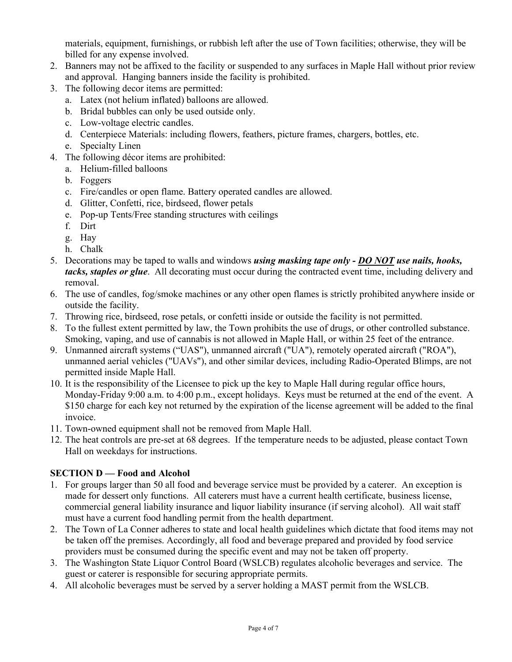materials, equipment, furnishings, or rubbish left after the use of Town facilities; otherwise, they will be billed for any expense involved.

- 2. Banners may not be affixed to the facility or suspended to any surfaces in Maple Hall without prior review and approval. Hanging banners inside the facility is prohibited.
- 3. The following decor items are permitted:
	- a. Latex (not helium inflated) balloons are allowed.
	- b. Bridal bubbles can only be used outside only.
	- c. Low-voltage electric candles.
	- d. Centerpiece Materials: including flowers, feathers, picture frames, chargers, bottles, etc.
	- e. Specialty Linen
- 4. The following décor items are prohibited:
	- a. Helium-filled balloons
	- b. Foggers
	- c. Fire/candles or open flame. Battery operated candles are allowed.
	- d. Glitter, Confetti, rice, birdseed, flower petals
	- e. Pop-up Tents/Free standing structures with ceilings
	- f. Dirt
	- g. Hay
	- h. Chalk
- 5. Decorations may be taped to walls and windows *using masking tape only DO NOT use nails, hooks, tacks, staples or glue*. All decorating must occur during the contracted event time, including delivery and removal.
- 6. The use of candles, fog/smoke machines or any other open flames is strictly prohibited anywhere inside or outside the facility.
- 7. Throwing rice, birdseed, rose petals, or confetti inside or outside the facility is not permitted.
- 8. To the fullest extent permitted by law, the Town prohibits the use of drugs, or other controlled substance. Smoking, vaping, and use of cannabis is not allowed in Maple Hall, or within 25 feet of the entrance.
- 9. Unmanned aircraft systems ("UAS"), unmanned aircraft ("UA"), remotely operated aircraft ("ROA"), unmanned aerial vehicles ("UAVs"), and other similar devices, including Radio-Operated Blimps, are not permitted inside Maple Hall.
- 10. It is the responsibility of the Licensee to pick up the key to Maple Hall during regular office hours, Monday-Friday 9:00 a.m. to 4:00 p.m., except holidays. Keys must be returned at the end of the event. A \$150 charge for each key not returned by the expiration of the license agreement will be added to the final invoice.
- 11. Town-owned equipment shall not be removed from Maple Hall.
- 12. The heat controls are pre-set at 68 degrees. If the temperature needs to be adjusted, please contact Town Hall on weekdays for instructions.

### **SECTION D — Food and Alcohol**

- 1. For groups larger than 50 all food and beverage service must be provided by a caterer. An exception is made for dessert only functions. All caterers must have a current health certificate, business license, commercial general liability insurance and liquor liability insurance (if serving alcohol). All wait staff must have a current food handling permit from the health department.
- 2. The Town of La Conner adheres to state and local health guidelines which dictate that food items may not be taken off the premises. Accordingly, all food and beverage prepared and provided by food service providers must be consumed during the specific event and may not be taken off property.
- 3. The Washington State Liquor Control Board (WSLCB) regulates alcoholic beverages and service. The guest or caterer is responsible for securing appropriate permits.
- 4. All alcoholic beverages must be served by a server holding a MAST permit from the WSLCB.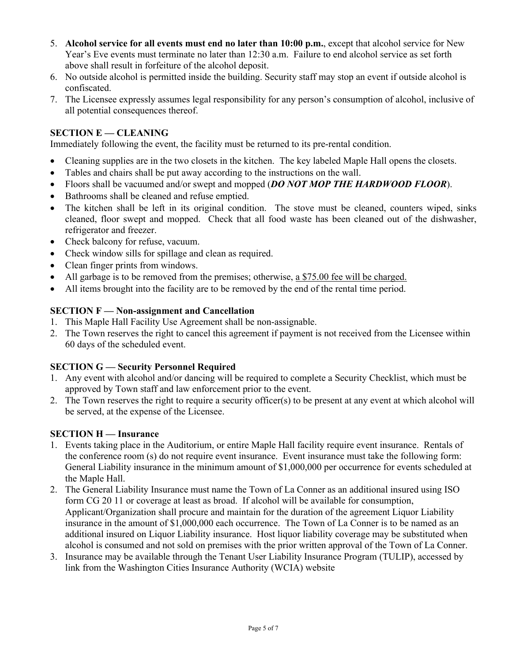- 5. **Alcohol service for all events must end no later than 10:00 p.m.**, except that alcohol service for New Year's Eve events must terminate no later than 12:30 a.m. Failure to end alcohol service as set forth above shall result in forfeiture of the alcohol deposit.
- 6. No outside alcohol is permitted inside the building. Security staff may stop an event if outside alcohol is confiscated.
- 7. The Licensee expressly assumes legal responsibility for any person's consumption of alcohol, inclusive of all potential consequences thereof.

#### **SECTION E — CLEANING**

Immediately following the event, the facility must be returned to its pre-rental condition.

- Cleaning supplies are in the two closets in the kitchen. The key labeled Maple Hall opens the closets.
- Tables and chairs shall be put away according to the instructions on the wall.
- Floors shall be vacuumed and/or swept and mopped (*DO NOT MOP THE HARDWOOD FLOOR*).
- Bathrooms shall be cleaned and refuse emptied.
- The kitchen shall be left in its original condition. The stove must be cleaned, counters wiped, sinks cleaned, floor swept and mopped. Check that all food waste has been cleaned out of the dishwasher, refrigerator and freezer.
- Check balcony for refuse, vacuum.
- Check window sills for spillage and clean as required.
- Clean finger prints from windows.
- All garbage is to be removed from the premises; otherwise, a \$75.00 fee will be charged.
- All items brought into the facility are to be removed by the end of the rental time period.

#### **SECTION F — Non-assignment and Cancellation**

- 1. This Maple Hall Facility Use Agreement shall be non-assignable.
- 2. The Town reserves the right to cancel this agreement if payment is not received from the Licensee within 60 days of the scheduled event.

#### **SECTION G — Security Personnel Required**

- 1. Any event with alcohol and/or dancing will be required to complete a Security Checklist, which must be approved by Town staff and law enforcement prior to the event.
- 2. The Town reserves the right to require a security officer(s) to be present at any event at which alcohol will be served, at the expense of the Licensee.

#### **SECTION H — Insurance**

- 1. Events taking place in the Auditorium, or entire Maple Hall facility require event insurance. Rentals of the conference room (s) do not require event insurance. Event insurance must take the following form: General Liability insurance in the minimum amount of \$1,000,000 per occurrence for events scheduled at the Maple Hall.
- 2. The General Liability Insurance must name the Town of La Conner as an additional insured using ISO form CG 20 11 or coverage at least as broad. If alcohol will be available for consumption, Applicant/Organization shall procure and maintain for the duration of the agreement Liquor Liability insurance in the amount of \$1,000,000 each occurrence. The Town of La Conner is to be named as an additional insured on Liquor Liability insurance. Host liquor liability coverage may be substituted when alcohol is consumed and not sold on premises with the prior written approval of the Town of La Conner.
- 3. Insurance may be available through the Tenant User Liability Insurance Program (TULIP), accessed by link from the Washington Cities Insurance Authority (WCIA) website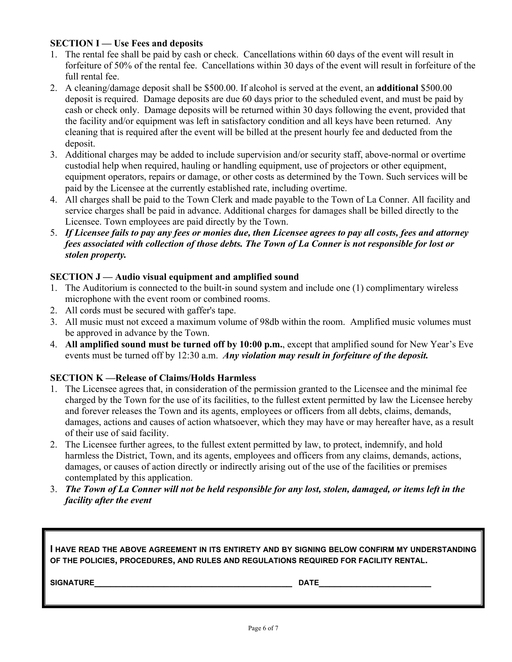#### **SECTION I** — Use Fees and deposits

- 1. The rental fee shall be paid by cash or check. Cancellations within 60 days of the event will result in forfeiture of 50% of the rental fee. Cancellations within 30 days of the event will result in forfeiture of the full rental fee.
- 2. A cleaning/damage deposit shall be \$500.00. If alcohol is served at the event, an **additional** \$500.00 deposit is required. Damage deposits are due 60 days prior to the scheduled event, and must be paid by cash or check only. Damage deposits will be returned within 30 days following the event, provided that the facility and/or equipment was left in satisfactory condition and all keys have been returned. Any cleaning that is required after the event will be billed at the present hourly fee and deducted from the deposit.
- 3. Additional charges may be added to include supervision and/or security staff, above-normal or overtime custodial help when required, hauling or handling equipment, use of projectors or other equipment, equipment operators, repairs or damage, or other costs as determined by the Town. Such services will be paid by the Licensee at the currently established rate, including overtime.
- 4. All charges shall be paid to the Town Clerk and made payable to the Town of La Conner. All facility and service charges shall be paid in advance. Additional charges for damages shall be billed directly to the Licensee. Town employees are paid directly by the Town.
- 5. *If Licensee fails to pay any fees or monies due, then Licensee agrees to pay all costs, fees and attorney fees associated with collection of those debts. The Town of La Conner is not responsible for lost or stolen property.*

#### **SECTION J**—Audio visual equipment and amplified sound

- 1. The Auditorium is connected to the built-in sound system and include one (1) complimentary wireless microphone with the event room or combined rooms.
- 2. All cords must be secured with gaffer's tape.
- 3. All music must not exceed a maximum volume of 98db within the room. Amplified music volumes must be approved in advance by the Town.
- 4. **All amplified sound must be turned off by 10:00 p.m.**, except that amplified sound for New Year's Eve events must be turned off by 12:30 a.m. *Any violation may result in forfeiture of the deposit.*

#### **SECTION K —Release of Claims/Holds Harmless**

- 1. The Licensee agrees that, in consideration of the permission granted to the Licensee and the minimal fee charged by the Town for the use of its facilities, to the fullest extent permitted by law the Licensee hereby and forever releases the Town and its agents, employees or officers from all debts, claims, demands, damages, actions and causes of action whatsoever, which they may have or may hereafter have, as a result of their use of said facility.
- 2. The Licensee further agrees, to the fullest extent permitted by law, to protect, indemnify, and hold harmless the District, Town, and its agents, employees and officers from any claims, demands, actions, damages, or causes of action directly or indirectly arising out of the use of the facilities or premises contemplated by this application.
- 3. *The Town of La Conner will not be held responsible for any lost, stolen, damaged, or items left in the facility after the event*

**I HAVE READ THE ABOVE AGREEMENT IN ITS ENTIRETY AND BY SIGNING BELOW CONFIRM MY UNDERSTANDING OF THE POLICIES, PROCEDURES, AND RULES AND REGULATIONS REQUIRED FOR FACILITY RENTAL.** 

**SIGNATURE\_\_\_\_\_\_\_\_\_\_\_\_\_\_\_\_\_\_\_\_\_\_\_\_\_\_\_\_\_\_\_\_\_\_\_\_\_ DATE\_\_\_\_\_\_\_\_\_\_\_\_\_\_\_\_\_\_\_\_\_**